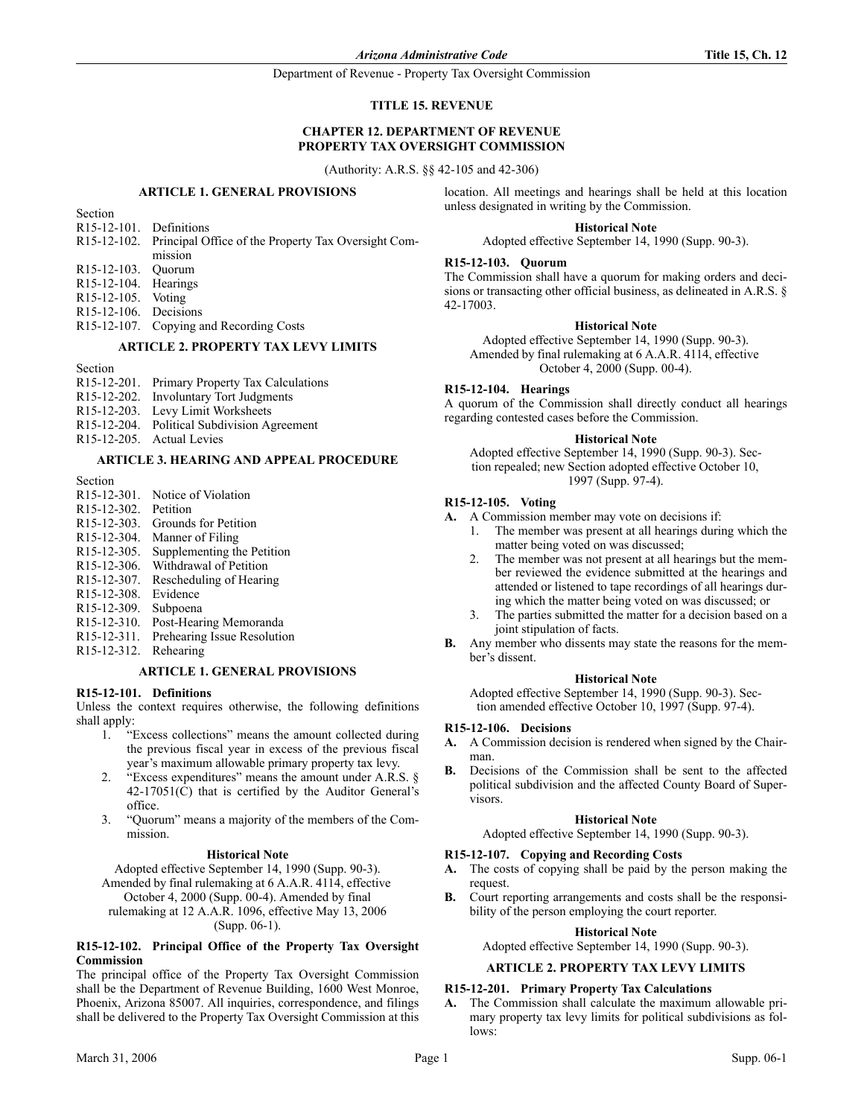Department of Revenue - Property Tax Oversight Commission

## **TITLE 15. REVENUE**

# **CHAPTER 12. DEPARTMENT OF REVENUE PROPERTY TAX OVERSIGHT COMMISSION**

(Authority: A.R.S. §§ 42-105 and 42-306)

#### **ARTICLE 1. GENERAL PROVISIONS**

| Section                              |                                                                 |
|--------------------------------------|-----------------------------------------------------------------|
| R <sub>15</sub> -12-101. Definitions |                                                                 |
|                                      | R15-12-102. Principal Office of the Property Tax Oversight Com- |
|                                      | mission                                                         |
| R15-12-103. Ouorum                   |                                                                 |
| $R15-12-104$ . Hearings              |                                                                 |
| R <sub>15</sub> -12-105. Voting      |                                                                 |
| $R15-12-106$ . Decisions             |                                                                 |
|                                      | R <sub>15</sub> -12-107. Copying and Recording Costs            |

# **ARTICLE 2. PROPERTY TAX LEVY LIMITS**

Section

| R <sub>15</sub> -12-201. Primary Property Tax Calculations |
|------------------------------------------------------------|
| R <sub>15</sub> -12-202. Involuntary Tort Judgments        |
| R <sub>15</sub> -12-203. Levy Limit Worksheets             |
| R15-12-204. Political Subdivision Agreement                |
| R <sub>15</sub> -12-205. Actual Levies                     |

# **ARTICLE 3. HEARING AND APPEAL PROCEDURE**

Section

- R15-12-301. Notice of Violation
- R15-12-302. Petition
- R15-12-303. Grounds for Petition
- R15-12-304. Manner of Filing
- R15-12-305. Supplementing the Petition
- R15-12-306. Withdrawal of Petition
- R15-12-307. Rescheduling of Hearing
- R15-12-308. Evidence
- R15-12-309. Subpoena
- R15-12-310. Post-Hearing Memoranda
- R15-12-311. Prehearing Issue Resolution

## R15-12-312. Rehearing

# **ARTICLE 1. GENERAL PROVISIONS**

#### **R15-12-101. Definitions**

Unless the context requires otherwise, the following definitions shall apply:

- 1. "Excess collections" means the amount collected during the previous fiscal year in excess of the previous fiscal year's maximum allowable primary property tax levy.
- 2. "Excess expenditures" means the amount under A.R.S. §  $42-17051(\hat{C})$  that is certified by the Auditor General's office.
- 3. "Quorum" means a majority of the members of the Commission.

#### **Historical Note**

Adopted effective September 14, 1990 (Supp. 90-3). Amended by final rulemaking at 6 A.A.R. 4114, effective

October 4, 2000 (Supp. 00-4). Amended by final

rulemaking at 12 A.A.R. 1096, effective May 13, 2006 (Supp. 06-1).

## **R15-12-102. Principal Office of the Property Tax Oversight Commission**

The principal office of the Property Tax Oversight Commission shall be the Department of Revenue Building, 1600 West Monroe, Phoenix, Arizona 85007. All inquiries, correspondence, and filings shall be delivered to the Property Tax Oversight Commission at this location. All meetings and hearings shall be held at this location unless designated in writing by the Commission.

# **Historical Note**

Adopted effective September 14, 1990 (Supp. 90-3).

### **R15-12-103. Quorum**

The Commission shall have a quorum for making orders and decisions or transacting other official business, as delineated in A.R.S. § 42-17003.

### **Historical Note**

Adopted effective September 14, 1990 (Supp. 90-3). Amended by final rulemaking at 6 A.A.R. 4114, effective October 4, 2000 (Supp. 00-4).

#### **R15-12-104. Hearings**

A quorum of the Commission shall directly conduct all hearings regarding contested cases before the Commission.

#### **Historical Note**

Adopted effective September 14, 1990 (Supp. 90-3). Section repealed; new Section adopted effective October 10, 1997 (Supp. 97-4).

# **R15-12-105. Voting**

**A.** A Commission member may vote on decisions if:

- 1. The member was present at all hearings during which the matter being voted on was discussed;
- The member was not present at all hearings but the member reviewed the evidence submitted at the hearings and attended or listened to tape recordings of all hearings during which the matter being voted on was discussed; or
- 3. The parties submitted the matter for a decision based on a joint stipulation of facts.
- **B.** Any member who dissents may state the reasons for the member's dissent.

#### **Historical Note**

Adopted effective September 14, 1990 (Supp. 90-3). Section amended effective October 10, 1997 (Supp. 97-4).

#### **R15-12-106. Decisions**

- **A.** A Commission decision is rendered when signed by the Chairman.
- **B.** Decisions of the Commission shall be sent to the affected political subdivision and the affected County Board of Supervisors.

#### **Historical Note**

Adopted effective September 14, 1990 (Supp. 90-3).

#### **R15-12-107. Copying and Recording Costs**

- **A.** The costs of copying shall be paid by the person making the request.
- **B.** Court reporting arrangements and costs shall be the responsibility of the person employing the court reporter.

# **Historical Note**

Adopted effective September 14, 1990 (Supp. 90-3).

# **ARTICLE 2. PROPERTY TAX LEVY LIMITS**

## **R15-12-201. Primary Property Tax Calculations**

**A.** The Commission shall calculate the maximum allowable primary property tax levy limits for political subdivisions as follows: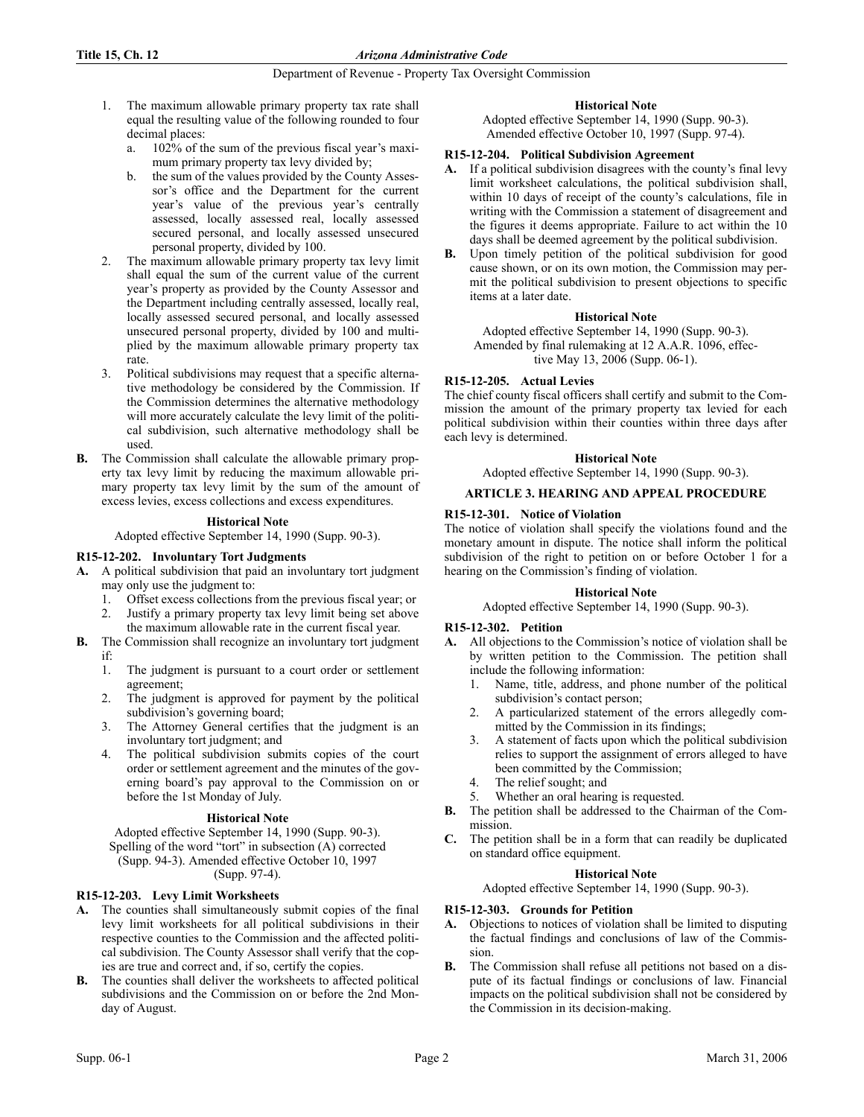# **Title 15, Ch. 12** *Arizona Administrative Code*

# Department of Revenue - Property Tax Oversight Commission

- 1. The maximum allowable primary property tax rate shall equal the resulting value of the following rounded to four decimal places:
	- a. 102% of the sum of the previous fiscal year's maximum primary property tax levy divided by;
	- b. the sum of the values provided by the County Assessor's office and the Department for the current year's value of the previous year's centrally assessed, locally assessed real, locally assessed secured personal, and locally assessed unsecured personal property, divided by 100.
- 2. The maximum allowable primary property tax levy limit shall equal the sum of the current value of the current year's property as provided by the County Assessor and the Department including centrally assessed, locally real, locally assessed secured personal, and locally assessed unsecured personal property, divided by 100 and multiplied by the maximum allowable primary property tax rate.
- 3. Political subdivisions may request that a specific alternative methodology be considered by the Commission. If the Commission determines the alternative methodology will more accurately calculate the levy limit of the political subdivision, such alternative methodology shall be used.
- **B.** The Commission shall calculate the allowable primary property tax levy limit by reducing the maximum allowable primary property tax levy limit by the sum of the amount of excess levies, excess collections and excess expenditures.

# **Historical Note**

Adopted effective September 14, 1990 (Supp. 90-3).

# **R15-12-202. Involuntary Tort Judgments**

- **A.** A political subdivision that paid an involuntary tort judgment may only use the judgment to:
	- 1. Offset excess collections from the previous fiscal year; or 2. Justify a primary property tax levy limit being set above
- the maximum allowable rate in the current fiscal year. **B.** The Commission shall recognize an involuntary tort judgment
	- if:
- 
- 1. The judgment is pursuant to a court order or settlement agreement;
- 2. The judgment is approved for payment by the political subdivision's governing board;
- 3. The Attorney General certifies that the judgment is an involuntary tort judgment; and
- 4. The political subdivision submits copies of the court order or settlement agreement and the minutes of the governing board's pay approval to the Commission on or before the 1st Monday of July.

## **Historical Note**

Adopted effective September 14, 1990 (Supp. 90-3). Spelling of the word "tort" in subsection (A) corrected (Supp. 94-3). Amended effective October 10, 1997 (Supp. 97-4).

# **R15-12-203. Levy Limit Worksheets**

- **A.** The counties shall simultaneously submit copies of the final levy limit worksheets for all political subdivisions in their respective counties to the Commission and the affected political subdivision. The County Assessor shall verify that the copies are true and correct and, if so, certify the copies.
- **B.** The counties shall deliver the worksheets to affected political subdivisions and the Commission on or before the 2nd Monday of August.

# **Historical Note**

Adopted effective September 14, 1990 (Supp. 90-3). Amended effective October 10, 1997 (Supp. 97-4).

# **R15-12-204. Political Subdivision Agreement**

- **A.** If a political subdivision disagrees with the county's final levy limit worksheet calculations, the political subdivision shall, within 10 days of receipt of the county's calculations, file in writing with the Commission a statement of disagreement and the figures it deems appropriate. Failure to act within the 10 days shall be deemed agreement by the political subdivision.
- **B.** Upon timely petition of the political subdivision for good cause shown, or on its own motion, the Commission may permit the political subdivision to present objections to specific items at a later date.

## **Historical Note**

Adopted effective September 14, 1990 (Supp. 90-3). Amended by final rulemaking at 12 A.A.R. 1096, effective May 13, 2006 (Supp. 06-1).

# **R15-12-205. Actual Levies**

The chief county fiscal officers shall certify and submit to the Commission the amount of the primary property tax levied for each political subdivision within their counties within three days after each levy is determined.

# **Historical Note**

Adopted effective September 14, 1990 (Supp. 90-3).

# **ARTICLE 3. HEARING AND APPEAL PROCEDURE**

# **R15-12-301. Notice of Violation**

The notice of violation shall specify the violations found and the monetary amount in dispute. The notice shall inform the political subdivision of the right to petition on or before October 1 for a hearing on the Commission's finding of violation.

## **Historical Note**

Adopted effective September 14, 1990 (Supp. 90-3).

# **R15-12-302. Petition**

- **A.** All objections to the Commission's notice of violation shall be by written petition to the Commission. The petition shall include the following information:
	- 1. Name, title, address, and phone number of the political subdivision's contact person;
	- 2. A particularized statement of the errors allegedly committed by the Commission in its findings;
	- 3. A statement of facts upon which the political subdivision relies to support the assignment of errors alleged to have been committed by the Commission;
	- 4. The relief sought; and
	- 5. Whether an oral hearing is requested.
- **B.** The petition shall be addressed to the Chairman of the Commission.
- **C.** The petition shall be in a form that can readily be duplicated on standard office equipment.

## **Historical Note**

Adopted effective September 14, 1990 (Supp. 90-3).

# **R15-12-303. Grounds for Petition**

- **A.** Objections to notices of violation shall be limited to disputing the factual findings and conclusions of law of the Commission.
- **B.** The Commission shall refuse all petitions not based on a dispute of its factual findings or conclusions of law. Financial impacts on the political subdivision shall not be considered by the Commission in its decision-making.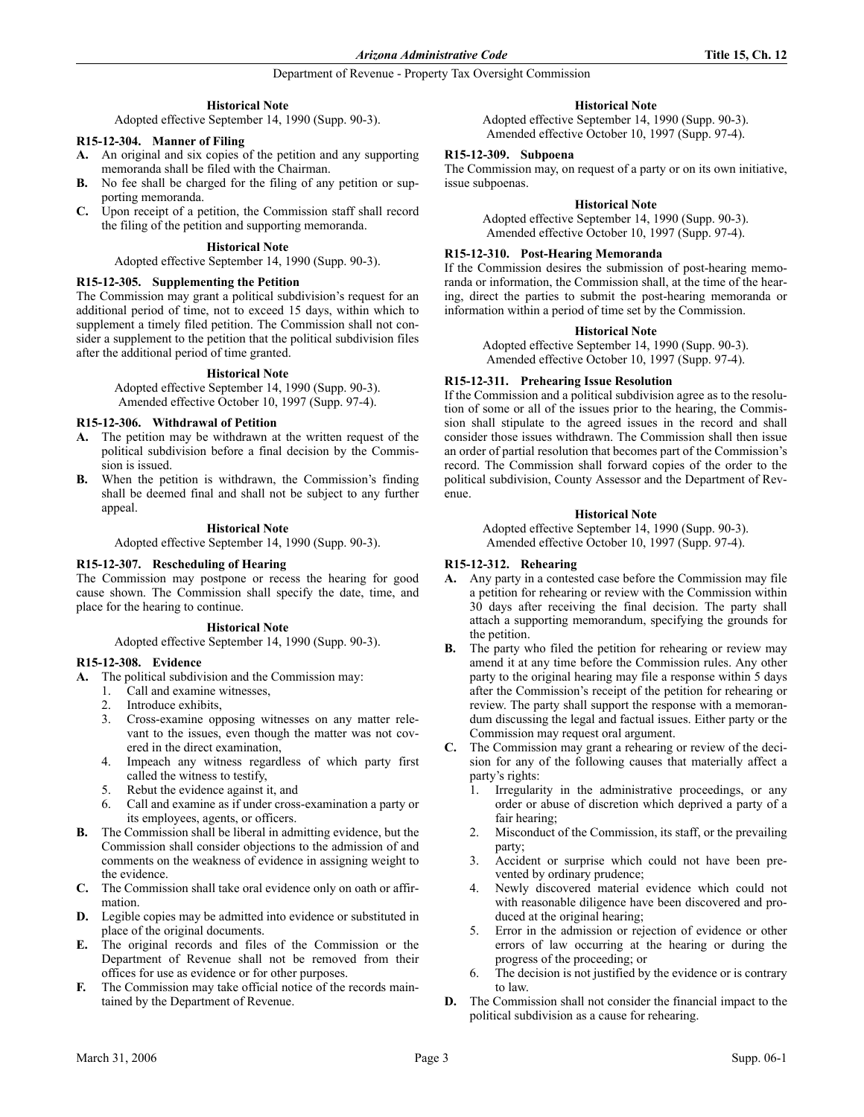# Department of Revenue - Property Tax Oversight Commission

# **Historical Note**

Adopted effective September 14, 1990 (Supp. 90-3).

## **R15-12-304. Manner of Filing**

- **A.** An original and six copies of the petition and any supporting memoranda shall be filed with the Chairman.
- **B.** No fee shall be charged for the filing of any petition or supporting memoranda.
- **C.** Upon receipt of a petition, the Commission staff shall record the filing of the petition and supporting memoranda.

### **Historical Note**

Adopted effective September 14, 1990 (Supp. 90-3).

#### **R15-12-305. Supplementing the Petition**

The Commission may grant a political subdivision's request for an additional period of time, not to exceed 15 days, within which to supplement a timely filed petition. The Commission shall not consider a supplement to the petition that the political subdivision files after the additional period of time granted.

#### **Historical Note**

Adopted effective September 14, 1990 (Supp. 90-3). Amended effective October 10, 1997 (Supp. 97-4).

#### **R15-12-306. Withdrawal of Petition**

- **A.** The petition may be withdrawn at the written request of the political subdivision before a final decision by the Commission is issued.
- **B.** When the petition is withdrawn, the Commission's finding shall be deemed final and shall not be subject to any further appeal.

#### **Historical Note**

Adopted effective September 14, 1990 (Supp. 90-3).

# **R15-12-307. Rescheduling of Hearing**

The Commission may postpone or recess the hearing for good cause shown. The Commission shall specify the date, time, and place for the hearing to continue.

#### **Historical Note**

Adopted effective September 14, 1990 (Supp. 90-3).

## **R15-12-308. Evidence**

**A.** The political subdivision and the Commission may:

- 1. Call and examine witnesses,
- 2. Introduce exhibits,
- 3. Cross-examine opposing witnesses on any matter relevant to the issues, even though the matter was not covered in the direct examination,
- 4. Impeach any witness regardless of which party first called the witness to testify,
- 5. Rebut the evidence against it, and
- 6. Call and examine as if under cross-examination a party or its employees, agents, or officers.
- **B.** The Commission shall be liberal in admitting evidence, but the Commission shall consider objections to the admission of and comments on the weakness of evidence in assigning weight to the evidence.
- **C.** The Commission shall take oral evidence only on oath or affirmation.
- **D.** Legible copies may be admitted into evidence or substituted in place of the original documents.
- **E.** The original records and files of the Commission or the Department of Revenue shall not be removed from their offices for use as evidence or for other purposes.
- The Commission may take official notice of the records maintained by the Department of Revenue.

### **Historical Note**

Adopted effective September 14, 1990 (Supp. 90-3). Amended effective October 10, 1997 (Supp. 97-4).

### **R15-12-309. Subpoena**

The Commission may, on request of a party or on its own initiative, issue subpoenas.

### **Historical Note**

Adopted effective September 14, 1990 (Supp. 90-3). Amended effective October 10, 1997 (Supp. 97-4).

# **R15-12-310. Post-Hearing Memoranda**

If the Commission desires the submission of post-hearing memoranda or information, the Commission shall, at the time of the hearing, direct the parties to submit the post-hearing memoranda or information within a period of time set by the Commission.

#### **Historical Note**

Adopted effective September 14, 1990 (Supp. 90-3). Amended effective October 10, 1997 (Supp. 97-4).

# **R15-12-311. Prehearing Issue Resolution**

If the Commission and a political subdivision agree as to the resolution of some or all of the issues prior to the hearing, the Commission shall stipulate to the agreed issues in the record and shall consider those issues withdrawn. The Commission shall then issue an order of partial resolution that becomes part of the Commission's record. The Commission shall forward copies of the order to the political subdivision, County Assessor and the Department of Revenue.

#### **Historical Note**

Adopted effective September 14, 1990 (Supp. 90-3). Amended effective October 10, 1997 (Supp. 97-4).

### **R15-12-312. Rehearing**

- **A.** Any party in a contested case before the Commission may file a petition for rehearing or review with the Commission within 30 days after receiving the final decision. The party shall attach a supporting memorandum, specifying the grounds for the petition.
- **B.** The party who filed the petition for rehearing or review may amend it at any time before the Commission rules. Any other party to the original hearing may file a response within 5 days after the Commission's receipt of the petition for rehearing or review. The party shall support the response with a memorandum discussing the legal and factual issues. Either party or the Commission may request oral argument.
- **C.** The Commission may grant a rehearing or review of the decision for any of the following causes that materially affect a party's rights:
	- 1. Irregularity in the administrative proceedings, or any order or abuse of discretion which deprived a party of a fair hearing;
	- 2. Misconduct of the Commission, its staff, or the prevailing party;
	- 3. Accident or surprise which could not have been prevented by ordinary prudence;
	- 4. Newly discovered material evidence which could not with reasonable diligence have been discovered and produced at the original hearing;
	- 5. Error in the admission or rejection of evidence or other errors of law occurring at the hearing or during the progress of the proceeding; or
	- 6. The decision is not justified by the evidence or is contrary to law.
- **D.** The Commission shall not consider the financial impact to the political subdivision as a cause for rehearing.